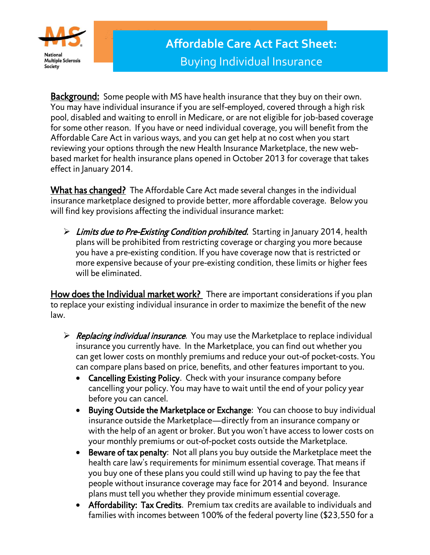

Background: Some people with MS have health insurance that they buy on their own. You may have individual insurance if you are self-employed, covered through a high risk pool, disabled and waiting to enroll in Medicare, or are not eligible for job-based coverage for some other reason. If you have or need individual coverage, you will benefit from the Affordable Care Act in various ways, and you can get help at no cost when you start reviewing your options through the new Health Insurance Marketplace, the new webbased market for health insurance plans opened in October 2013 for coverage that takes effect in January 2014.

What has changed? The Affordable Care Act made several changes in the individual insurance marketplace designed to provide better, more affordable coverage. Below you will find key provisions affecting the individual insurance market:

 $\triangleright$  Limits due to Pre-Existing Condition prohibited. Starting in January 2014, health plans will be prohibited from restricting coverage or charging you more because you have a pre-existing condition. If you have coverage now that is restricted or more expensive because of your pre-existing condition, these limits or higher fees will be eliminated.

How does the Individual market work? There are important considerations if you plan to replace your existing individual insurance in order to maximize the benefit of the new law.

- $\triangleright$  Replacing individual insurance. You may use the Marketplace to replace individual insurance you currently have. In the Marketplace, you can find out whether you can get lower costs on monthly premiums and reduce your out-of pocket-costs. You can compare plans based on price, benefits, and other features important to you.
	- Cancelling Existing Policy. Check with your insurance company before cancelling your policy. You may have to wait until the end of your policy year before you can cancel.
	- Buying Outside the Marketplace or Exchange: You can choose to buy individual insurance outside the Marketplace—directly from an insurance company or with the help of an agent or broker. But you won't have access to lower costs on your monthly premiums or out-of-pocket costs outside the Marketplace.
	- Beware of tax penalty: Not all plans you buy outside the Marketplace meet the health care law's requirements for minimum essential coverage. That means if you buy one of these plans you could still wind up having to pay the fee that people without insurance coverage may face for 2014 and beyond. Insurance plans must tell you whether they provide minimum essential coverage.
	- Affordability: Tax Credits. Premium tax credits are available to individuals and families with incomes between 100% of the federal poverty line (\$23,550 for a